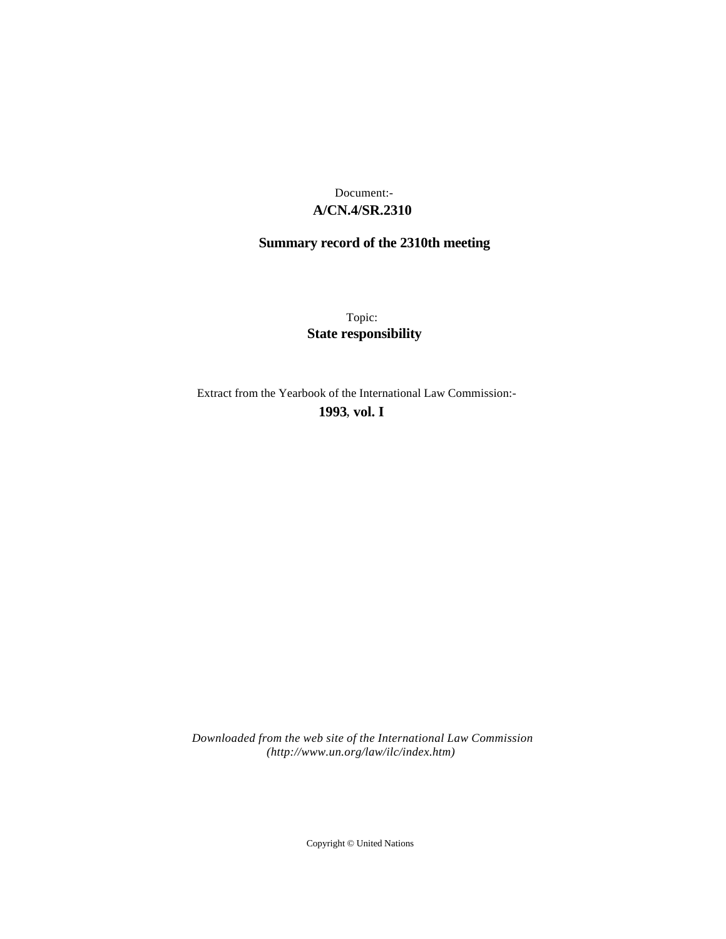## **A/CN.4/SR.2310** Document:-

# **Summary record of the 2310th meeting**

Topic: **State responsibility**

Extract from the Yearbook of the International Law Commission:-

**1993** , **vol. I**

*Downloaded from the web site of the International Law Commission (http://www.un.org/law/ilc/index.htm)*

Copyright © United Nations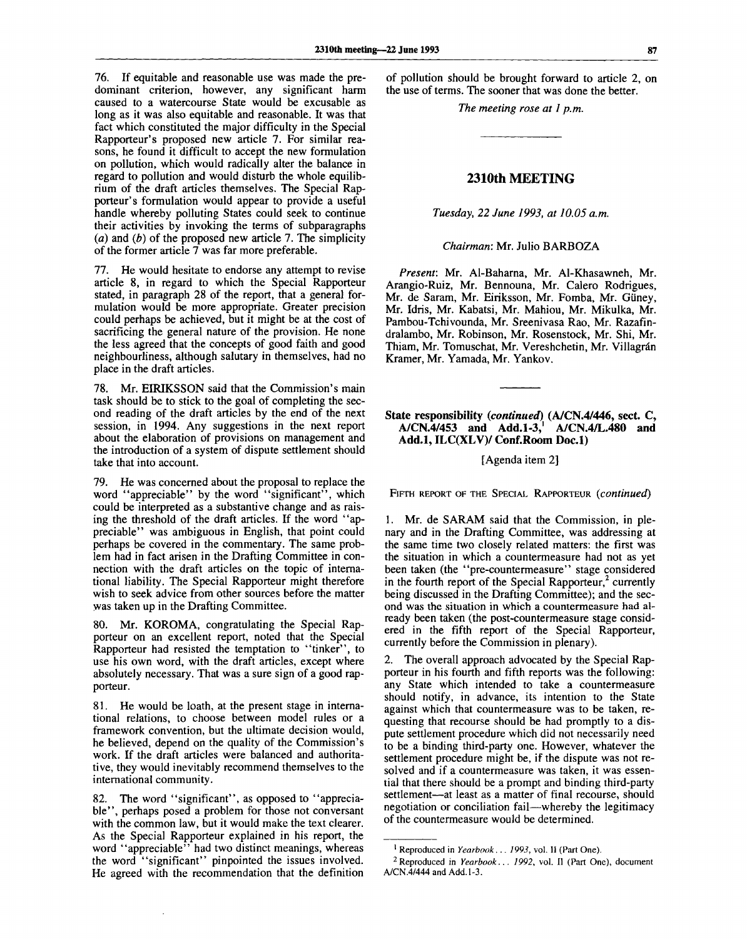76. If equitable and reasonable use was made the predominant criterion, however, any significant harm caused to a watercourse State would be excusable as long as it was also equitable and reasonable. It was that fact which constituted the major difficulty in the Special Rapporteur's proposed new article 7. For similar reasons, he found it difficult to accept the new formulation on pollution, which would radically alter the balance in regard to pollution and would disturb the whole equilibrium of the draft articles themselves. The Special Rapporteur's formulation would appear to provide a useful handle whereby polluting States could seek to continue their activities by invoking the terms of subparagraphs (a) and *(b)* of the proposed new article 7. The simplicity of the former article  $\overline{7}$  was far more preferable.

77. He would hesitate to endorse any attempt to revise article 8, in regard to which the Special Rapporteur stated, in paragraph 28 of the report, that a general formulation would be more appropriate. Greater precision could perhaps be achieved, but it might be at the cost of sacrificing the general nature of the provision. He none the less agreed that the concepts of good faith and good neighbourliness, although salutary in themselves, had no place in the draft articles.

78. Mr. EIRIKSSON said that the Commission's main task should be to stick to the goal of completing the second reading of the draft articles by the end of the next session, in 1994. Any suggestions in the next report about the elaboration of provisions on management and the introduction of a system of dispute settlement should take that into account.

79. He was concerned about the proposal to replace the word "appreciable" by the word "significant", which could be interpreted as a substantive change and as raising the threshold of the draft articles. If the word "appreciable" was ambiguous in English, that point could perhaps be covered in the commentary. The same problem had in fact arisen in the Drafting Committee in connection with the draft articles on the topic of international liability. The Special Rapporteur might therefore wish to seek advice from other sources before the matter was taken up in the Drafting Committee.

80. Mr. KOROMA, congratulating the Special Rapporteur on an excellent report, noted that the Special Rapporteur had resisted the temptation to "tinker", to use his own word, with the draft articles, except where absolutely necessary. That was a sure sign of a good rapporteur.

81. He would be loath, at the present stage in international relations, to choose between model rules or a framework convention, but the ultimate decision would, he believed, depend on the quality of the Commission's work. If the draft articles were balanced and authoritative, they would inevitably recommend themselves to the international community.

82. The word "significant", as opposed to "appreciable", perhaps posed a problem for those not conversant with the common law, but it would make the text clearer. As the Special Rapporteur explained in his report, the word "appreciable" had two distinct meanings, whereas the word "significant" pinpointed the issues involved. He agreed with the recommendation that the definition

of pollution should be brought forward to article 2, on the use of terms. The sooner that was done the better.

*The meeting rose at 1 p.m.*

### **2310th MEETING**

#### *Tuesday, 22 June 1993, at 10.05 a.m.*

*Chairman:* Mr. Julio BARBOZA

*Present:* Mr. Al-Baharna, Mr. Al-Khasawneh, Mr. Arangio-Ruiz, Mr. Bennouna, Mr. Calero Rodrigues, Mr. de Saram, Mr. Eiriksson, Mr. Fomba, Mr. Giiney, Mr. Idris, Mr. Kabatsi, Mr. Mahiou, Mr. Mikulka, Mr. Pambou-Tchivounda, Mr. Sreenivasa Rao, Mr. Razafindralambo, Mr. Robinson, Mr. Rosenstock, Mr. Shi, Mr. Thiam, Mr. Tomuschat, Mr. Vereshchetin, Mr. Villagrán Kramer, Mr. Yamada, Mr. Yankov.

#### **State responsibility** *{continued)* **(A/CN.4/446, sect. C, A/CN.4/453 and Add.1-3,<sup>1</sup> A/CN.4/L.480 and Add.l, ILC(XLV)/ Conf.Room Doc.l)**

[Agenda item 2]

FIFTH REPORT OF THE SPECIAL RAPPORTEUR *{continued)*

1. Mr. de SARAM said that the Commission, in plenary and in the Drafting Committee, was addressing at the same time two closely related matters: the first was the situation in which a countermeasure had not as yet been taken (the "pre-countermeasure" stage considered in the fourth report of the Special Rapporteur,<sup>2</sup> currently being discussed in the Drafting Committee); and the second was the situation in which a countermeasure had already been taken (the post-countermeasure stage considered in the fifth report of the Special Rapporteur, currently before the Commission in plenary).

2. The overall approach advocated by the Special Rapporteur in his fourth and fifth reports was the following: any State which intended to take a countermeasure should notify, in advance, its intention to the State against which that countermeasure was to be taken, requesting that recourse should be had promptly to a dispute settlement procedure which did not necessarily need to be a binding third-party one. However, whatever the settlement procedure might be, if the dispute was not resolved and if a countermeasure was taken, it was essential that there should be a prompt and binding third-party settlement—at least as a matter of final recourse, should negotiation or conciliation fail—whereby the legitimacy of the countermeasure would be determined.

<sup>1</sup> Reproduced in *Yearbook... 1993,* vol. II (Part One).

<sup>2</sup>Reproduced in *Yearbook... 1992,* vol. II (Part One), document A/CN.4/444 and Add.1-3.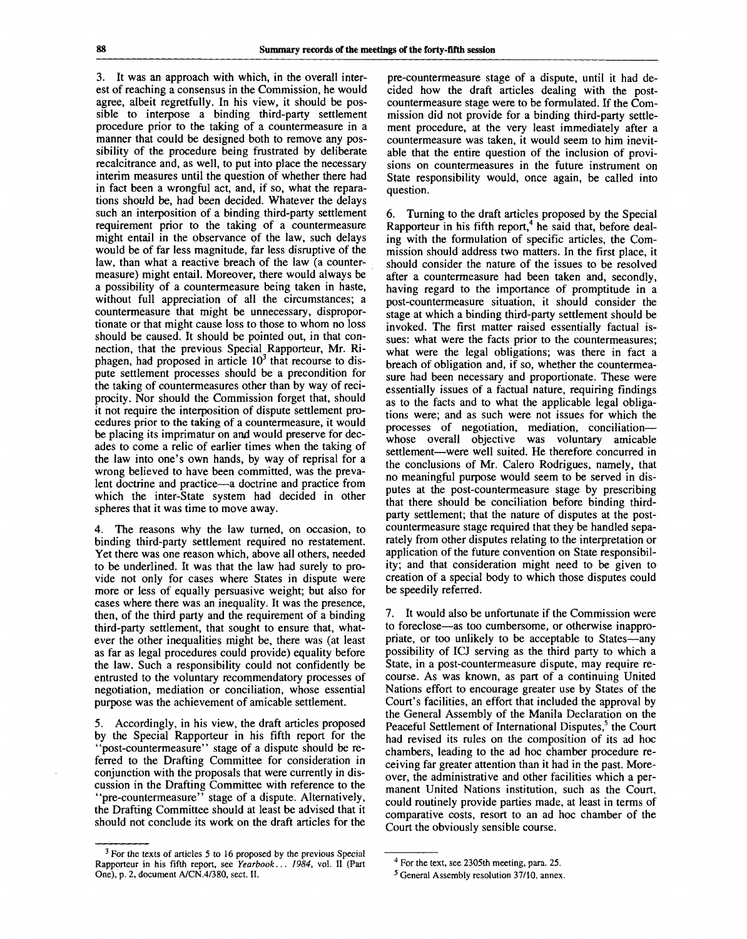3. It was an approach with which, in the overall interest of reaching a consensus in the Commission, he would agree, albeit regretfully. In his view, it should be possible to interpose a binding third-party settlement procedure prior to the taking of a countermeasure in a manner that could be designed both to remove any possibility of the procedure being frustrated by deliberate recalcitrance and, as well, to put into place the necessary interim measures until the question of whether there had in fact been a wrongful act, and, if so, what the reparations should be, had been decided. Whatever the delays such an interposition of a binding third-party settlement requirement prior to the taking of a countermeasure might entail in the observance of the law, such delays would be of far less magnitude, far less disruptive of the law, than what a reactive breach of the law (a countermeasure) might entail. Moreover, there would always be a possibility of a countermeasure being taken in haste, without full appreciation of all the circumstances; a countermeasure that might be unnecessary, disproportionate or that might cause loss to those to whom no loss should be caused. It should be pointed out, in that connection, that the previous Special Rapporteur, Mr. Ri $n_{\text{e}}$  and the previous opecial Kapporteur,  $m_{\text{e}}$ ,  $m_{\text{e}}$ <br>phagen, had proposed in article  $10^3$  that recourse to dispute settlement processes should be a precondition for the taking of countermeasures other than by way of reciprocity. Nor should the Commission forget that, should it not require the interposition of dispute settlement procedures prior to the taking of a countermeasure, it would be placing its imprimatur on and would preserve for decades to come a relic of earlier times when the taking of the law into one's own hands, by way of reprisal for a wrong believed to have been committed, was the prevalent doctrine and practice—a doctrine and practice from which the inter-State system had decided in other spheres that it was time to move away.

4. The reasons why the law turned, on occasion, to binding third-party settlement required no restatement. Yet there was one reason which, above all others, needed to be underlined. It was that the law had surely to provide not only for cases where States in dispute were more or less of equally persuasive weight; but also for cases where there was an inequality. It was the presence, then, of the third party and the requirement of a binding third-party settlement, that sought to ensure that, whatever the other inequalities might be, there was (at least as far as legal procedures could provide) equality before the law. Such a responsibility could not confidently be entrusted to the voluntary recommendatory processes of negotiation, mediation or conciliation, whose essential purpose was the achievement of amicable settlement.

5. Accordingly, in his view, the draft articles proposed by the Special Rapporteur in his fifth report for the "post-countermeasure" stage of a dispute should be referred to the Drafting Committee for consideration in conjunction with the proposals that were currently in discussion in the Drafting Committee with reference to the 'pre-countermeasure'<sup>7</sup> stage of a dispute. Alternatively, the Drafting Committee should at least be advised that it should not conclude its work on the draft articles for the

pre-countermeasure stage of a dispute, until it had decided how the draft articles dealing with the postcountermeasure stage were to be formulated. If the Commission did not provide for a binding third-party settlement procedure, at the very least immediately after a countermeasure was taken, it would seem to him inevitable that the entire question of the inclusion of provisions on countermeasures in the future instrument on State responsibility would, once again, be called into question.

6. Turning to the draft articles proposed by the Special Rapporteur in his fifth report,<sup>4</sup> he said that, before dealing with the formulation of specific articles, the Commission should address two matters. In the first place, it should consider the nature of the issues to be resolved after a countermeasure had been taken and, secondly, having regard to the importance of promptitude in a post-countermeasure situation, it should consider the stage at which a binding third-party settlement should be invoked. The first matter raised essentially factual issues: what were the facts prior to the countermeasures; what were the legal obligations; was there in fact a breach of obligation and, if so, whether the countermeasure had been necessary and proportionate. These were essentially issues of a factual nature, requiring findings as to the facts and to what the applicable legal obligations were; and as such were not issues for which the processes of negotiation, mediation, conciliation whose overall objective was voluntary amicable settlement—were well suited. He therefore concurred in the conclusions of Mr. Calero Rodrigues, namely, that no meaningful purpose would seem to be served in disputes at the post-countermeasure stage by prescribing that there should be conciliation before binding thirdparty settlement; that the nature of disputes at the postcountermeasure stage required that they be handled separately from other disputes relating to the interpretation or application of the future convention on State responsibility; and that consideration might need to be given to creation of a special body to which those disputes could be speedily referred.

7. It would also be unfortunate if the Commission were to foreclose—as too cumbersome, or otherwise inappropriate, or too unlikely to be acceptable to States—any possibility of ICJ serving as the third party to which a State, in a post-countermeasure dispute, may require recourse. As was known, as part of a continuing United Nations effort to encourage greater use by States of the Court's facilities, an effort that included the approval by the General Assembly of the Manila Declaration on the Peaceful Settlement of International Disputes,<sup>5</sup> the Court had revised its rules on the composition of its ad hoc chambers, leading to the ad hoc chamber procedure receiving far greater attention than it had in the past. Moreover, the administrative and other facilities which a permanent United Nations institution, such as the Court, could routinely provide parties made, at least in terms of comparative costs, resort to an ad hoc chamber of the Court the obviously sensible course.

<sup>&</sup>lt;sup>3</sup> For the texts of articles 5 to 16 proposed by the previous Special Rapporteur in his fifth report, see *Yearbook... 1984,* vol. II (Part One), p. 2, document A/CN.4/380, sect. II.

<sup>&</sup>lt;sup>4</sup> For the text, see 2305th meeting, para. 25.

<sup>5</sup> General Assembly resolution 37/10, annex.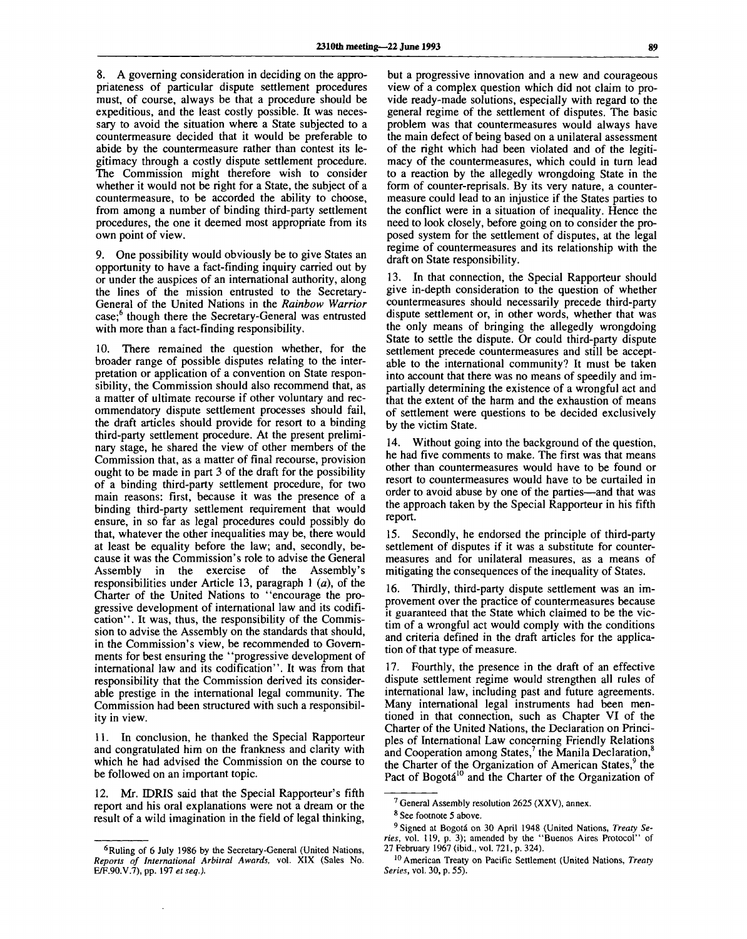8. A governing consideration in deciding on the appropriateness of particular dispute settlement procedures must, of course, always be that a procedure should be expeditious, and the least costly possible. It was necessary to avoid the situation where a State subjected to a countermeasure decided that it would be preferable to abide by the countermeasure rather than contest its legitimacy through a costly dispute settlement procedure. The Commission might therefore wish to consider whether it would not be right for a State, the subject of a countermeasure, to be accorded the ability to choose, from among a number of binding third-party settlement procedures, the one it deemed most appropriate from its own point of view.

9. One possibility would obviously be to give States an opportunity to have a fact-finding inquiry carried out by or under the auspices of an international authority, along the lines of the mission entrusted to the Secretary-General of the United Nations in the *Rainbow Warrior* case;<sup>6</sup> though there the Secretary-General was entrusted with more than a fact-finding responsibility.

10. There remained the question whether, for the broader range of possible disputes relating to the interpretation or application of a convention on State responsibility, the Commission should also recommend that, as a matter of ultimate recourse if other voluntary and recommendatory dispute settlement processes should fail, the draft articles should provide for resort to a binding third-party settlement procedure. At the present preliminary stage, he shared the view of other members of the Commission that, as a matter of final recourse, provision ought to be made in part 3 of the draft for the possibility of a binding third-party settlement procedure, for two main reasons: first, because it was the presence of a binding third-party settlement requirement that would ensure, in so far as legal procedures could possibly do that, whatever the other inequalities may be, there would at least be equality before the law; and, secondly, because it was the Commission's role to advise the General Assembly in the exercise of the Assembly's responsibilities under Article 13, paragraph 1 *(a),* of the Charter of the United Nations to "encourage the progressive development of international law and its codification". It was, thus, the responsibility of the Commission to advise the Assembly on the standards that should, in the Commission's view, be recommended to Governments for best ensuring the "progressive development of international law and its codification". It was from that responsibility that the Commission derived its considerable prestige in the international legal community. The Commission had been structured with such a responsibility in view.

11. In conclusion, he thanked the Special Rapporteur and congratulated him on the frankness and clarity with which he had advised the Commission on the course to be followed on an important topic.

12. Mr. IDRIS said that the Special Rapporteur's fifth report and his oral explanations were not a dream or the result of a wild imagination in the field of legal thinking,

but a progressive innovation and a new and courageous view of a complex question which did not claim to provide ready-made solutions, especially with regard to the general regime of the settlement of disputes. The basic problem was that countermeasures would always have the main defect of being based on a unilateral assessment of the right which had been violated and of the legitimacy of the countermeasures, which could in turn lead to a reaction by the allegedly wrongdoing State in the form of counter-reprisals. By its very nature, a countermeasure could lead to an injustice if the States parties to the conflict were in a situation of inequality. Hence the need to look closely, before going on to consider the proposed system for the settlement of disputes, at the legal regime of countermeasures and its relationship with the draft on State responsibility.

13. In that connection, the Special Rapporteur should give in-depth consideration to the question of whether countermeasures should necessarily precede third-party dispute settlement or, in other words, whether that was the only means of bringing the allegedly wrongdoing State to settle the dispute. Or could third-party dispute settlement precede countermeasures and still be acceptable to the international community? It must be taken into account that there was no means of speedily and impartially determining the existence of a wrongful act and that the extent of the harm and the exhaustion of means of settlement were questions to be decided exclusively by the victim State.

14. Without going into the background of the question, he had five comments to make. The first was that means other than countermeasures would have to be found or resort to countermeasures would have to be curtailed in order to avoid abuse by one of the parties—and that was the approach taken by the Special Rapporteur in his fifth report.

15. Secondly, he endorsed the principle of third-party settlement of disputes if it was a substitute for countermeasures and for unilateral measures, as a means of mitigating the consequences of the inequality of States.

Thirdly, third-party dispute settlement was an improvement over the practice of countermeasures because it guaranteed that the State which claimed to be the victim of a wrongful act would comply with the conditions and criteria defined in the draft articles for the application of that type of measure.

17. Fourthly, the presence in the draft of an effective dispute settlement regime would strengthen all rules of international law, including past and future agreements. Many international legal instruments had been mentioned in that connection, such as Chapter VI of the Charter of the United Nations, the Declaration on Principles of International Law concerning Friendly Relations and Cooperation among States,<sup>7</sup> the Manila Declaration,<sup>8</sup> the Charter of the Organization of American States,<sup>9</sup> the Pact of Bogotá<sup>10</sup> and the Charter of the Organization of

<sup>&</sup>lt;sup>6</sup> Ruling of 6 July 1986 by the Secretary-General (United Nations, *Reports of International Arbitral Awards,* vol. XIX (Sales No. E/F.90.V.7), pp. 197 *et seq.).*

<sup>&</sup>lt;sup>7</sup> General Assembly resolution 2625 (XXV), annex.

<sup>8</sup> See footnote 5 above.

<sup>&</sup>lt;sup>9</sup> Signed at Bogotá on 30 April 1948 (United Nations, Treaty Se*ries,* vol. 119, p. 3); amended by the "Buenos Aires Protocol" of 27 February 1967 (ibid., vol. 721, p. 324).

<sup>10</sup> American Treaty on Pacific Settlement (United Nations, *Treaty Series,* vol. 30, p. 55).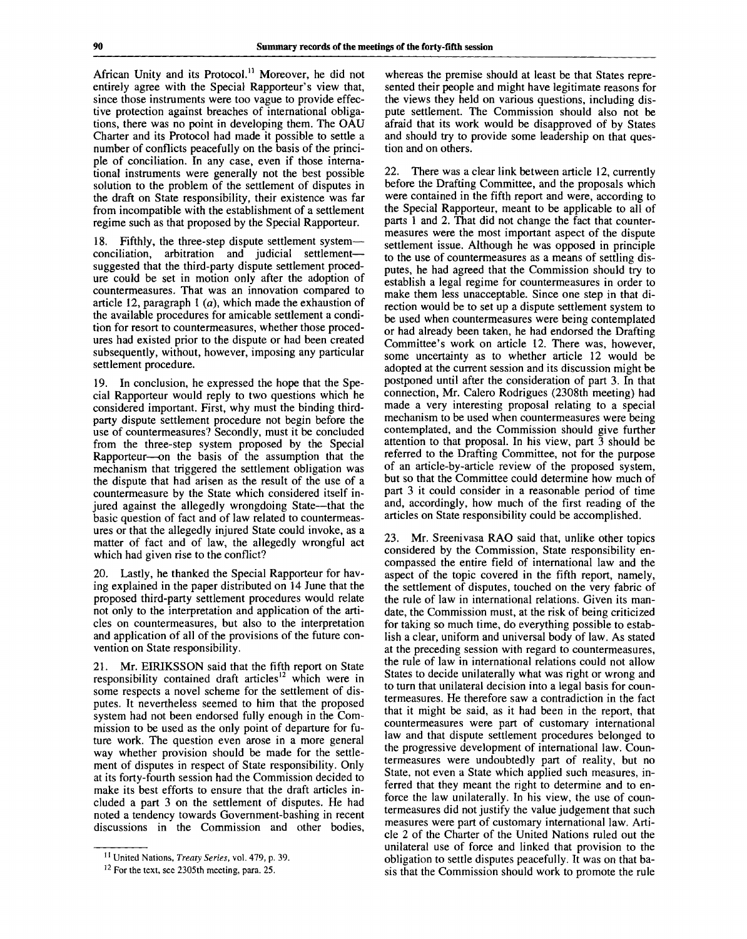African Unity and its Protocol.<sup>11</sup> Moreover, he did not entirely agree with the Special Rapporteur's view that, since those instruments were too vague to provide effective protection against breaches of international obligations, there was no point in developing them. The OAU Charter and its Protocol had made it possible to settle a number of conflicts peacefully on the basis of the principle of conciliation. In any case, even if those international instruments were generally not the best possible solution to the problem of the settlement of disputes in the draft on State responsibility, their existence was far from incompatible with the establishment of a settlement regime such as that proposed by the Special Rapporteur.

18. Fifthly, the three-step dispute settlement system conciliation, arbitration and judicial settlement suggested that the third-party dispute settlement procedure could be set in motion only after the adoption of countermeasures. That was an innovation compared to article 12, paragraph 1 *(a),* which made the exhaustion of the available procedures for amicable settlement a condition for resort to countermeasures, whether those procedures had existed prior to the dispute or had been created subsequently, without, however, imposing any particular settlement procedure.

19. In conclusion, he expressed the hope that the Special Rapporteur would reply to two questions which he considered important. First, why must the binding thirdparty dispute settlement procedure not begin before the use of countermeasures? Secondly, must it be concluded from the three-step system proposed by the Special Rapporteur—on the basis of the assumption that the mechanism that triggered the settlement obligation was the dispute that had arisen as the result of the use of a countermeasure by the State which considered itself injured against the allegedly wrongdoing State—that the basic question of fact and of law related to countermeasures or that the allegedly injured State could invoke, as a matter of fact and of law, the allegedly wrongful act which had given rise to the conflict?

Lastly, he thanked the Special Rapporteur for having explained in the paper distributed on 14 June that the proposed third-party settlement procedures would relate not only to the interpretation and application of the articles on countermeasures, but also to the interpretation and application of all of the provisions of the future convention on State responsibility.

21. Mr. EIRIKSSON said that the fifth report on State responsibility contained draft articles<sup>12</sup> which were in some respects a novel scheme for the settlement of disputes. It nevertheless seemed to him that the proposed system had not been endorsed fully enough in the Commission to be used as the only point of departure for future work. The question even arose in a more general way whether provision should be made for the settlement of disputes in respect of State responsibility. Only at its forty-fourth session had the Commission decided to make its best efforts to ensure that the draft articles included a part 3 on the settlement of disputes. He had noted a tendency towards Government-bashing in recent discussions in the Commission and other bodies,

whereas the premise should at least be that States represented their people and might have legitimate reasons for the views they held on various questions, including dispute settlement. The Commission should also not be afraid that its work would be disapproved of by States and should try to provide some leadership on that question and on others.

22. There was a clear link between article 12, currently before the Drafting Committee, and the proposals which were contained in the fifth report and were, according to the Special Rapporteur, meant to be applicable to all of parts 1 and 2. That did not change the fact that countermeasures were the most important aspect of the dispute settlement issue. Although he was opposed in principle to the use of countermeasures as a means of settling disputes, he had agreed that the Commission should try to establish a legal regime for countermeasures in order to make them less unacceptable. Since one step in that direction would be to set up a dispute settlement system to be used when countermeasures were being contemplated or had already been taken, he had endorsed the Drafting Committee's work on article 12. There was, however, some uncertainty as to whether article 12 would be adopted at the current session and its discussion might be postponed until after the consideration of part 3. In that connection, Mr. Calero Rodrigues (2308th meeting) had made a very interesting proposal relating to a special mechanism to be used when countermeasures were being contemplated, and the Commission should give further attention to that proposal. In his view, part  $\bar{3}$  should be referred to the Drafting Committee, not for the purpose of an article-by-article review of the proposed system, but so that the Committee could determine how much of part 3 it could consider in a reasonable period of time and, accordingly, how much of the first reading of the articles on State responsibility could be accomplished.

23. Mr. Sreenivasa RAO said that, unlike other topics considered by the Commission, State responsibility encompassed the entire field of international law and the aspect of the topic covered in the fifth report, namely, the settlement of disputes, touched on the very fabric of the rule of law in international relations. Given its mandate, the Commission must, at the risk of being criticized for taking so much time, do everything possible to establish a clear, uniform and universal body of law. As stated at the preceding session with regard to countermeasures, the rule of law in international relations could not allow States to decide unilaterally what was right or wrong and to turn that unilateral decision into a legal basis for countermeasures. He therefore saw a contradiction in the fact that it might be said, as it had been in the report, that countermeasures were part of customary international law and that dispute settlement procedures belonged to the progressive development of international law. Countermeasures were undoubtedly part of reality, but no State, not even a State which applied such measures, inferred that they meant the right to determine and to enforce the law unilaterally. In his view, the use of countermeasures did not justify the value judgement that such measures were part of customary international law. Article 2 of the Charter of the United Nations ruled out the unilateral use of force and linked that provision to the obligation to settle disputes peacefully. It was on that basis that the Commission should work to promote the rule

<sup>11</sup> United Nations, *Treaty Series,* vol. 479, p. 39.

<sup>&</sup>lt;sup>12</sup> For the text, see 2305th meeting, para. 25.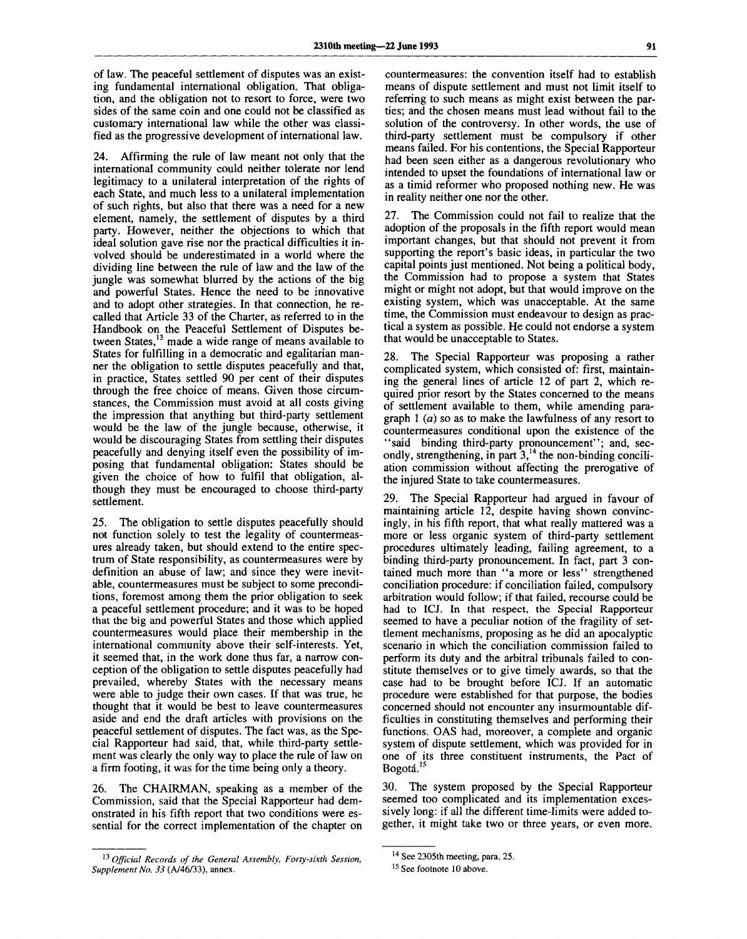of law. The peaceful settlement of disputes was an existing fundamental international obligation. That obligation, and the obligation not to resort to force, were two sides of the same coin and one could not be classified as customary international law while the other was classified as the progressive development of international law.

24. Affirming the rule of law meant not only that the international community could neither tolerate nor lend legitimacy to a unilateral interpretation of the rights of each State, and much less to a unilateral implementation of such rights, but also that there was a need for a new element, namely, the settlement of disputes by a third party. However, neither the objections to which that ideal solution gave rise nor the practical difficulties it involved should be underestimated in a world where the dividing line between the rule of law and the law of the jungle was somewhat blurred by the actions of the big and powerful States. Hence the need to be innovative and to adopt other strategies. In that connection, he recalled that Article 33 of the Charter, as referred to in the Handbook on the Peaceful Settlement of Disputes between States,<sup>13</sup> made a wide range of means available to States for fulfilling in a democratic and egalitarian manner the obligation to settle disputes peacefully and that, in practice, States settled 90 per cent of their disputes through the free choice of means. Given those circumstances, the Commission must avoid at all costs giving the impression that anything but third-party settlement would be the law of the jungle because, otherwise, it would be discouraging States from settling their disputes peacefully and denying itself even the possibility of imposing that fundamental obligation: States should be given the choice of how to fulfil that obligation, although they must be encouraged to choose third-party settlement.

25. The obligation to settle disputes peacefully should not function solely to test the legality of countermeasures already taken, but should extend to the entire spectrum of State responsibility, as countermeasures were by definition an abuse of law; and since they were inevitable, countermeasures must be subject to some preconditions, foremost among them the prior obligation to seek a peaceful settlement procedure; and it was to be hoped that the big and powerful States and those which applied countermeasures would place their membership in the international community above their self-interests. Yet, it seemed that, in the work done thus far, a narrow conception of the obligation to settle disputes peacefully had prevailed, whereby States with the necessary means were able to judge their own cases. If that was true, he thought that it would be best to leave countermeasures aside and end the draft articles with provisions on the peaceful settlement of disputes. The fact was, as the Special Rapporteur had said, that, while third-party settlement was clearly the only way to place the rule of law on a firm footing, it was for the time being only a theory.

The CHAIRMAN, speaking as a member of the Commission, said that the Special Rapporteur had demonstrated in his fifth report that two conditions were essential for the correct implementation of the chapter on

countermeasures: the convention itself had to establish means of dispute settlement and must not limit itself to referring to such means as might exist between the parties; and the chosen means must lead without fail to the solution of the controversy. In other words, the use of third-party settlement must be compulsory if other means failed. For his contentions, the Special Rapporteur had been seen either as a dangerous revolutionary who intended to upset the foundations of international law or as a timid reformer who proposed nothing new. He was in reality neither one nor the other.

27. The Commission could not fail to realize that the adoption of the proposals in the fifth report would mean important changes, but that should not prevent it from supporting the report's basic ideas, in particular the two capital points just mentioned. Not being a political body, the Commission had to propose a system that States might or might not adopt, but that would improve on the existing system, which was unacceptable. At the same time, the Commission must endeavour to design as practical a system as possible. He could not endorse a system that would be unacceptable to States.

28. The Special Rapporteur was proposing a rather complicated system, which consisted of: first, maintaining the general lines of article 12 of part 2, which required prior resort by the States concerned to the means of settlement available to them, while amending paragraph 1 *(a)* so as to make the lawfulness of any resort to countermeasures conditional upon the existence of the "said binding third-party pronouncement"; and, secondly, strengthening, in part  $3<sup>14</sup>$ , the non-binding conciliation commission without affecting the prerogative of the injured State to take countermeasures.

29. The Special Rapporteur had argued in favour of maintaining article 12, despite having shown convincingly, in his fifth report, that what really mattered was a more or less organic system of third-party settlement procedures ultimately leading, failing agreement, to a binding third-party pronouncement. In fact, part 3 contained much more than "a more or less" strengthened conciliation procedure: if conciliation failed, compulsory arbitration would follow; if that failed, recourse could be had to ICJ. In that respect, the Special Rapporteur seemed to have a peculiar notion of the fragility of settlement mechanisms, proposing as he did an apocalyptic scenario in which the conciliation commission failed to perform its duty and the arbitral tribunals failed to constitute themselves or to give timely awards, so that the case had to be brought before ICJ. If an automatic procedure were established for that purpose, the bodies concerned should not encounter any insurmountable difficulties in constituting themselves and performing their functions. OAS had, moreover, a complete and organic system of dispute settlement, which was provided for in one of its three constituent instruments, the Pact of Bogotá.<sup>15</sup>

30. The system proposed by the Special Rapporteur seemed too complicated and its implementation excessively long: if all the different time-limits were added together, it might take two or three years, or even more.

<sup>13</sup>  *Official Records of the General Assembly, Forty-sixth Session, Supplement No. 33* (A/46/33), annex.

<sup>&</sup>lt;sup>14</sup> See 2305th meeting, para. 25.

<sup>&</sup>lt;sup>15</sup> See footnote 10 above.